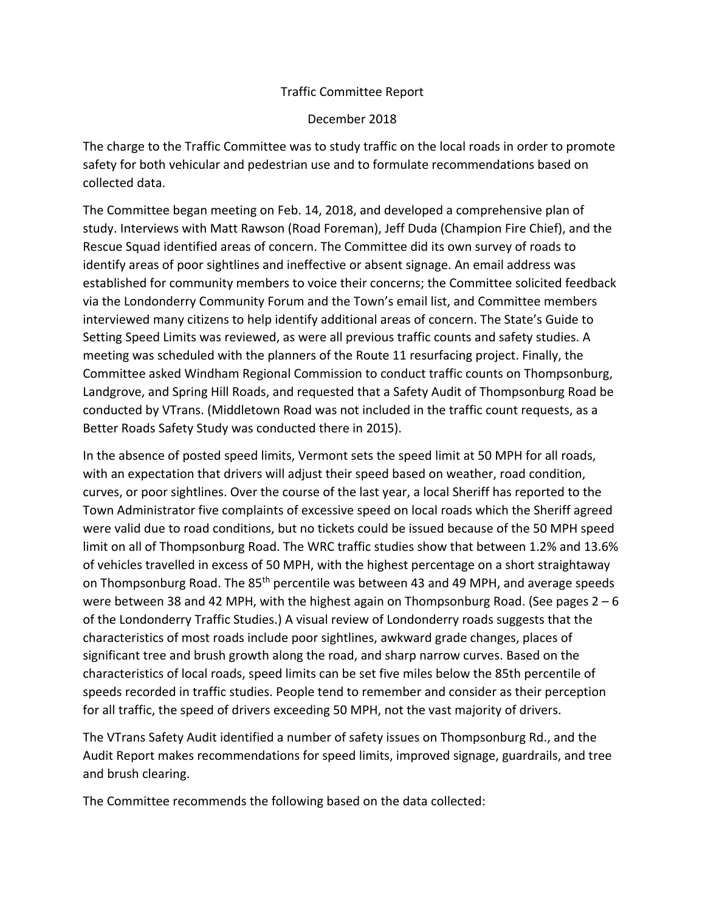## Traffic Committee Report

## December 2018

The charge to the Traffic Committee was to study traffic on the local roads in order to promote safety for both vehicular and pedestrian use and to formulate recommendations based on collected data.

The Committee began meeting on Feb. 14, 2018, and developed a comprehensive plan of study. Interviews with Matt Rawson (Road Foreman), Jeff Duda (Champion Fire Chief), and the Rescue Squad identified areas of concern. The Committee did its own survey of roads to identify areas of poor sightlines and ineffective or absent signage. An email address was established for community members to voice their concerns; the Committee solicited feedback via the Londonderry Community Forum and the Town's email list, and Committee members interviewed many citizens to help identify additional areas of concern. The State's Guide to Setting Speed Limits was reviewed, as were all previous traffic counts and safety studies. A meeting was scheduled with the planners of the Route 11 resurfacing project. Finally, the Committee asked Windham Regional Commission to conduct traffic counts on Thompsonburg, Landgrove, and Spring Hill Roads, and requested that a Safety Audit of Thompsonburg Road be conducted by VTrans. (Middletown Road was not included in the traffic count requests, as a Better Roads Safety Study was conducted there in 2015).

In the absence of posted speed limits, Vermont sets the speed limit at 50 MPH for all roads, with an expectation that drivers will adjust their speed based on weather, road condition, curves, or poor sightlines. Over the course of the last year, a local Sheriff has reported to the Town Administrator five complaints of excessive speed on local roads which the Sheriff agreed were valid due to road conditions, but no tickets could be issued because of the 50 MPH speed limit on all of Thompsonburg Road. The WRC traffic studies show that between 1.2% and 13.6% of vehicles travelled in excess of 50 MPH, with the highest percentage on a short straightaway on Thompsonburg Road. The 85<sup>th</sup> percentile was between 43 and 49 MPH, and average speeds were between 38 and 42 MPH, with the highest again on Thompsonburg Road. (See pages  $2 - 6$ of the Londonderry Traffic Studies.) A visual review of Londonderry roads suggests that the characteristics of most roads include poor sightlines, awkward grade changes, places of significant tree and brush growth along the road, and sharp narrow curves. Based on the characteristics of local roads, speed limits can be set five miles below the 85th percentile of speeds recorded in traffic studies. People tend to remember and consider as their perception for all traffic, the speed of drivers exceeding 50 MPH, not the vast majority of drivers.

The VTrans Safety Audit identified a number of safety issues on Thompsonburg Rd., and the Audit Report makes recommendations for speed limits, improved signage, guardrails, and tree and brush clearing.

The Committee recommends the following based on the data collected: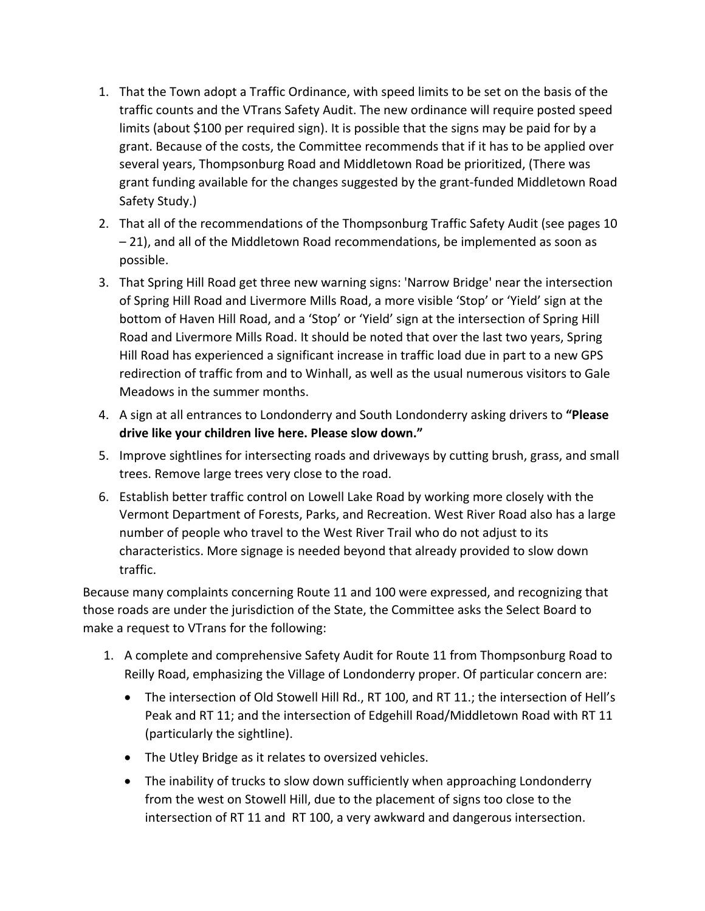- 1. That the Town adopt a Traffic Ordinance, with speed limits to be set on the basis of the traffic counts and the VTrans Safety Audit. The new ordinance will require posted speed limits (about \$100 per required sign). It is possible that the signs may be paid for by a grant. Because of the costs, the Committee recommends that if it has to be applied over several years, Thompsonburg Road and Middletown Road be prioritized, (There was grant funding available for the changes suggested by the grant-funded Middletown Road Safety Study.)
- 2. That all of the recommendations of the Thompsonburg Traffic Safety Audit (see pages 10 – 21), and all of the Middletown Road recommendations, be implemented as soon as possible.
- 3. That Spring Hill Road get three new warning signs: 'Narrow Bridge' near the intersection of Spring Hill Road and Livermore Mills Road, a more visible 'Stop' or 'Yield' sign at the bottom of Haven Hill Road, and a 'Stop' or 'Yield' sign at the intersection of Spring Hill Road and Livermore Mills Road. It should be noted that over the last two years, Spring Hill Road has experienced a significant increase in traffic load due in part to a new GPS redirection of traffic from and to Winhall, as well as the usual numerous visitors to Gale Meadows in the summer months.
- 4. A sign at all entrances to Londonderry and South Londonderry asking drivers to **"Please drive like your children live here. Please slow down."**
- 5. Improve sightlines for intersecting roads and driveways by cutting brush, grass, and small trees. Remove large trees very close to the road.
- 6. Establish better traffic control on Lowell Lake Road by working more closely with the Vermont Department of Forests, Parks, and Recreation. West River Road also has a large number of people who travel to the West River Trail who do not adjust to its characteristics. More signage is needed beyond that already provided to slow down traffic.

Because many complaints concerning Route 11 and 100 were expressed, and recognizing that those roads are under the jurisdiction of the State, the Committee asks the Select Board to make a request to VTrans for the following:

- 1. A complete and comprehensive Safety Audit for Route 11 from Thompsonburg Road to Reilly Road, emphasizing the Village of Londonderry proper. Of particular concern are:
	- The intersection of Old Stowell Hill Rd., RT 100, and RT 11.; the intersection of Hell's Peak and RT 11; and the intersection of Edgehill Road/Middletown Road with RT 11 (particularly the sightline).
	- The Utley Bridge as it relates to oversized vehicles.
	- The inability of trucks to slow down sufficiently when approaching Londonderry from the west on Stowell Hill, due to the placement of signs too close to the intersection of RT 11 and RT 100, a very awkward and dangerous intersection.